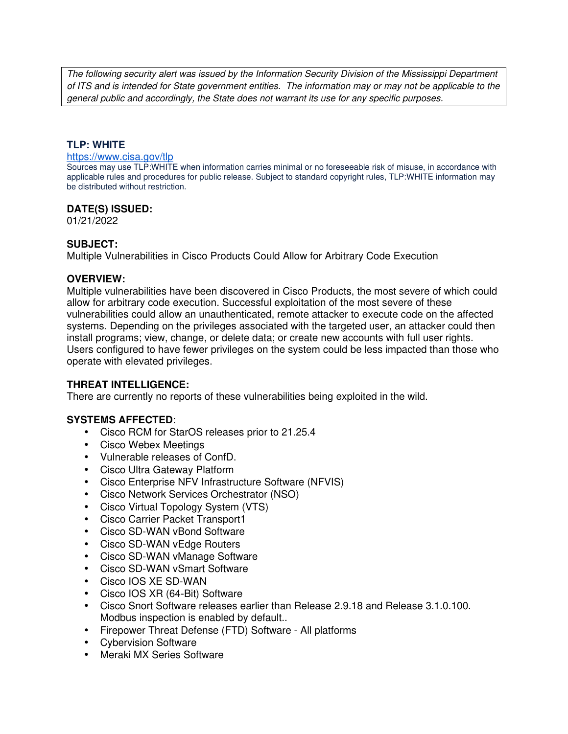The following security alert was issued by the Information Security Division of the Mississippi Department of ITS and is intended for State government entities. The information may or may not be applicable to the general public and accordingly, the State does not warrant its use for any specific purposes.

## **TLP: WHITE**

#### https://www.cisa.gov/tlp

Sources may use TLP:WHITE when information carries minimal or no foreseeable risk of misuse, in accordance with applicable rules and procedures for public release. Subject to standard copyright rules, TLP:WHITE information may be distributed without restriction.

#### **DATE(S) ISSUED:**

01/21/2022

#### **SUBJECT:**

Multiple Vulnerabilities in Cisco Products Could Allow for Arbitrary Code Execution

#### **OVERVIEW:**

Multiple vulnerabilities have been discovered in Cisco Products, the most severe of which could allow for arbitrary code execution. Successful exploitation of the most severe of these vulnerabilities could allow an unauthenticated, remote attacker to execute code on the affected systems. Depending on the privileges associated with the targeted user, an attacker could then install programs; view, change, or delete data; or create new accounts with full user rights. Users configured to have fewer privileges on the system could be less impacted than those who operate with elevated privileges.

## **THREAT INTELLIGENCE:**

There are currently no reports of these vulnerabilities being exploited in the wild.

## **SYSTEMS AFFECTED**:

- Cisco RCM for StarOS releases prior to 21.25.4
- Cisco Webex Meetings
- Vulnerable releases of ConfD.
- Cisco Ultra Gateway Platform
- Cisco Enterprise NFV Infrastructure Software (NFVIS)
- Cisco Network Services Orchestrator (NSO)
- Cisco Virtual Topology System (VTS)
- Cisco Carrier Packet Transport1
- Cisco SD-WAN vBond Software
- Cisco SD-WAN vEdge Routers
- Cisco SD-WAN vManage Software
- Cisco SD-WAN vSmart Software
- Cisco IOS XE SD-WAN
- Cisco IOS XR (64-Bit) Software
- Cisco Snort Software releases earlier than Release 2.9.18 and Release 3.1.0.100. Modbus inspection is enabled by default..
- Firepower Threat Defense (FTD) Software All platforms
- Cybervision Software
- Meraki MX Series Software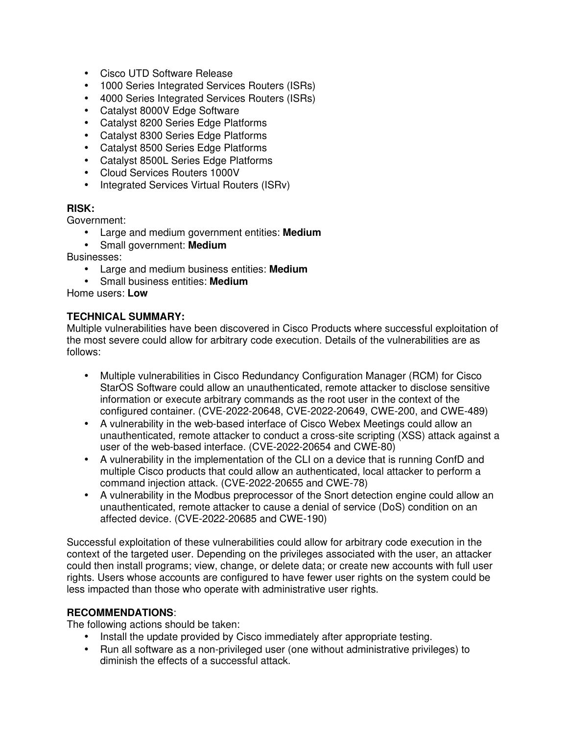- Cisco UTD Software Release
- 1000 Series Integrated Services Routers (ISRs)
- 4000 Series Integrated Services Routers (ISRs)
- Catalyst 8000V Edge Software
- Catalyst 8200 Series Edge Platforms
- Catalyst 8300 Series Edge Platforms
- Catalyst 8500 Series Edge Platforms
- Catalyst 8500L Series Edge Platforms
- Cloud Services Routers 1000V
- Integrated Services Virtual Routers (ISRv)

## **RISK:**

Government:

- Large and medium government entities: **Medium**
- Small government: **Medium**

Businesses:

- Large and medium business entities: **Medium**
- Small business entities: **Medium**

Home users: **Low**

## **TECHNICAL SUMMARY:**

Multiple vulnerabilities have been discovered in Cisco Products where successful exploitation of the most severe could allow for arbitrary code execution. Details of the vulnerabilities are as follows:

- Multiple vulnerabilities in Cisco Redundancy Configuration Manager (RCM) for Cisco StarOS Software could allow an unauthenticated, remote attacker to disclose sensitive information or execute arbitrary commands as the root user in the context of the configured container. (CVE-2022-20648, CVE-2022-20649, CWE-200, and CWE-489)
- A vulnerability in the web-based interface of Cisco Webex Meetings could allow an unauthenticated, remote attacker to conduct a cross-site scripting (XSS) attack against a user of the web-based interface. (CVE-2022-20654 and CWE-80)
- A vulnerability in the implementation of the CLI on a device that is running ConfD and multiple Cisco products that could allow an authenticated, local attacker to perform a command injection attack. (CVE-2022-20655 and CWE-78)
- A vulnerability in the Modbus preprocessor of the Snort detection engine could allow an unauthenticated, remote attacker to cause a denial of service (DoS) condition on an affected device. (CVE-2022-20685 and CWE-190)

Successful exploitation of these vulnerabilities could allow for arbitrary code execution in the context of the targeted user. Depending on the privileges associated with the user, an attacker could then install programs; view, change, or delete data; or create new accounts with full user rights. Users whose accounts are configured to have fewer user rights on the system could be less impacted than those who operate with administrative user rights.

## **RECOMMENDATIONS**:

The following actions should be taken:

- Install the update provided by Cisco immediately after appropriate testing.
- Run all software as a non-privileged user (one without administrative privileges) to diminish the effects of a successful attack.